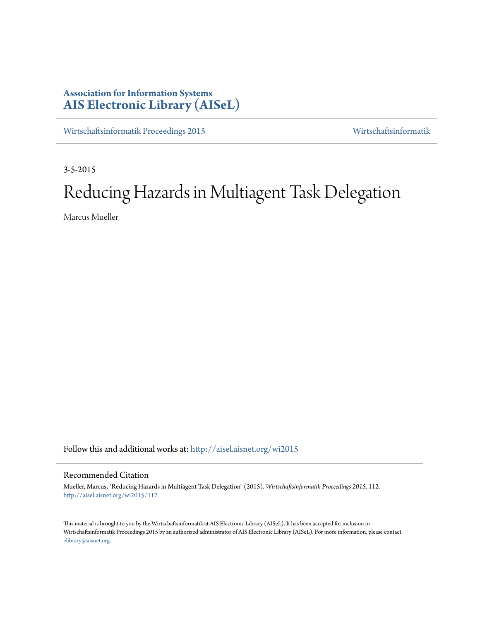# **Association for Information Systems [AIS Electronic Library \(AISeL\)](http://aisel.aisnet.org?utm_source=aisel.aisnet.org%2Fwi2015%2F112&utm_medium=PDF&utm_campaign=PDFCoverPages)**

[Wirtschaftsinformatik Proceedings 2015](http://aisel.aisnet.org/wi2015?utm_source=aisel.aisnet.org%2Fwi2015%2F112&utm_medium=PDF&utm_campaign=PDFCoverPages) [Wirtschaftsinformatik](http://aisel.aisnet.org/wi?utm_source=aisel.aisnet.org%2Fwi2015%2F112&utm_medium=PDF&utm_campaign=PDFCoverPages)

3-5-2015

# Reducing Hazards in Multiagent Task Delegation

Marcus Mueller

Follow this and additional works at: [http://aisel.aisnet.org/wi2015](http://aisel.aisnet.org/wi2015?utm_source=aisel.aisnet.org%2Fwi2015%2F112&utm_medium=PDF&utm_campaign=PDFCoverPages)

# Recommended Citation

Mueller, Marcus, "Reducing Hazards in Multiagent Task Delegation" (2015). *Wirtschaftsinformatik Proceedings 2015*. 112. [http://aisel.aisnet.org/wi2015/112](http://aisel.aisnet.org/wi2015/112?utm_source=aisel.aisnet.org%2Fwi2015%2F112&utm_medium=PDF&utm_campaign=PDFCoverPages)

This material is brought to you by the Wirtschaftsinformatik at AIS Electronic Library (AISeL). It has been accepted for inclusion in Wirtschaftsinformatik Proceedings 2015 by an authorized administrator of AIS Electronic Library (AISeL). For more information, please contact [elibrary@aisnet.org.](mailto:elibrary@aisnet.org%3E)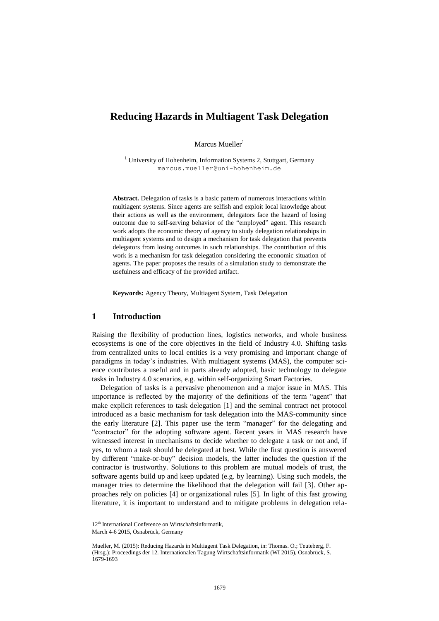# **Reducing Hazards in Multiagent Task Delegation**

Marcus Mueller<sup>1</sup>

<sup>1</sup> University of Hohenheim, Information Systems 2, Stuttgart, Germany marcus.mueller@uni-hohenheim.de

**Abstract.** Delegation of tasks is a basic pattern of numerous interactions within multiagent systems. Since agents are selfish and exploit local knowledge about their actions as well as the environment, delegators face the hazard of losing outcome due to self-serving behavior of the "employed" agent. This research work adopts the economic theory of agency to study delegation relationships in multiagent systems and to design a mechanism for task delegation that prevents delegators from losing outcomes in such relationships. The contribution of this work is a mechanism for task delegation considering the economic situation of agents. The paper proposes the results of a simulation study to demonstrate the usefulness and efficacy of the provided artifact.

**Keywords:** Agency Theory, Multiagent System, Task Delegation

# **1 Introduction**

Raising the flexibility of production lines, logistics networks, and whole business ecosystems is one of the core objectives in the field of Industry 4.0. Shifting tasks from centralized units to local entities is a very promising and important change of paradigms in today's industries. With multiagent systems (MAS), the computer science contributes a useful and in parts already adopted, basic technology to delegate tasks in Industry 4.0 scenarios, e.g. within self-organizing Smart Factories.

Delegation of tasks is a pervasive phenomenon and a major issue in MAS. This importance is reflected by the majority of the definitions of the term "agent" that make explicit references to task delegation [1] and the seminal contract net protocol introduced as a basic mechanism for task delegation into the MAS-community since the early literature [2]. This paper use the term "manager" for the delegating and "contractor" for the adopting software agent. Recent years in MAS research have witnessed interest in mechanisms to decide whether to delegate a task or not and, if yes, to whom a task should be delegated at best. While the first question is answered by different "make-or-buy" decision models, the latter includes the question if the contractor is trustworthy. Solutions to this problem are mutual models of trust, the software agents build up and keep updated (e.g. by learning). Using such models, the manager tries to determine the likelihood that the delegation will fail [3]. Other approaches rely on policies [4] or organizational rules [5]. In light of this fast growing literature, it is important to understand and to mitigate problems in delegation rela-

<sup>12&</sup>lt;sup>th</sup> International Conference on Wirtschaftsinformatik,

March 4-6 2015, Osnabrück, Germany

Mueller, M. (2015): Reducing Hazards in Multiagent Task Delegation, in: Thomas. O.; Teuteberg, F. (Hrsg.): Proceedings der 12. Internationalen Tagung Wirtschaftsinformatik (WI 2015), Osnabrück, S. 1679-1693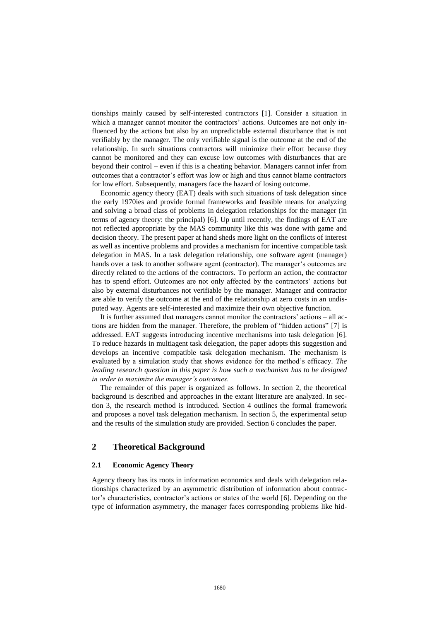tionships mainly caused by self-interested contractors [1]. Consider a situation in which a manager cannot monitor the contractors' actions. Outcomes are not only influenced by the actions but also by an unpredictable external disturbance that is not verifiably by the manager. The only verifiable signal is the outcome at the end of the relationship. In such situations contractors will minimize their effort because they cannot be monitored and they can excuse low outcomes with disturbances that are beyond their control – even if this is a cheating behavior. Managers cannot infer from outcomes that a contractor's effort was low or high and thus cannot blame contractors for low effort. Subsequently, managers face the hazard of losing outcome.

Economic agency theory (EAT) deals with such situations of task delegation since the early 1970ies and provide formal frameworks and feasible means for analyzing and solving a broad class of problems in delegation relationships for the manager (in terms of agency theory: the principal) [6]. Up until recently, the findings of EAT are not reflected [appropriate](http://dict.leo.org/ende/index_de.html#/search=appropriate&searchLoc=0&resultOrder=basic&multiwordShowSingle=on) by the MAS community like this was done with game and decision theory. The present paper at hand sheds more light on the conflicts of interest as well as incentive problems and provides a mechanism for incentive compatible task delegation in MAS. In a task delegation relationship, one software agent (manager) hands over a task to another software agent (contractor). The manager's outcomes are directly related to the actions of the contractors. To perform an action, the contractor has to spend effort. Outcomes are not only affected by the contractors' actions but also by external disturbances not verifiable by the manager. Manager and contractor are able to verify the outcome at the end of the relationship at zero costs in an [undis](http://dict.leo.org/ende/index_de.html#/search=undisputed&searchLoc=0&resultOrder=basic&multiwordShowSingle=on)[puted](http://dict.leo.org/ende/index_de.html#/search=undisputed&searchLoc=0&resultOrder=basic&multiwordShowSingle=on) way. Agents are self-interested and maximize their own objective function.

It is further assumed that managers cannot monitor the contractors' actions – all actions are hidden from the manager. Therefore, the problem of "hidden actions" [7] is addressed. EAT suggests introducing incentive mechanisms into task delegation [6]. To reduce hazards in multiagent task delegation, the paper adopts this suggestion and develops an incentive compatible task delegation mechanism. The mechanism is evaluated by a simulation study that shows evidence for the method's efficacy. *The leading research question in this paper is how such a mechanism has to be designed in order to maximize the manager's outcomes.*

The remainder of this paper is organized as follows. In section 2, the theoretical background is described and approaches in the extant literature are analyzed. In section 3, the research method is introduced. Section 4 outlines the formal framework and proposes a novel task delegation mechanism. In section 5, the experimental setup and the results of the simulation study are provided. Section 6 concludes the paper.

# **2 Theoretical Background**

#### **2.1 Economic Agency Theory**

Agency theory has its roots in information economics and deals with delegation relationships characterized by an asymmetric distribution of information about contractor's characteristics, contractor's actions or states of the world [6]. Depending on the type of information asymmetry, the manager faces corresponding problems like hid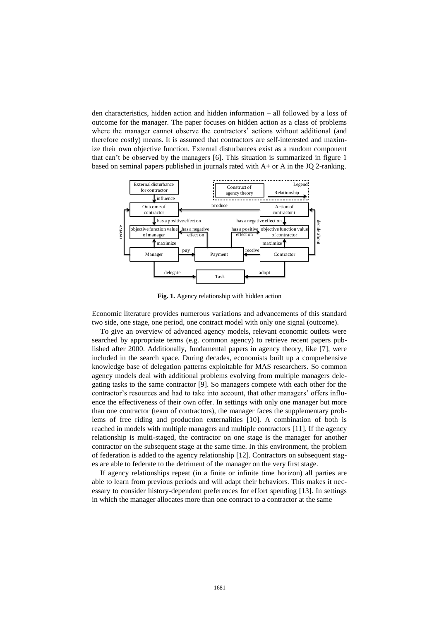den characteristics, hidden action and hidden information – all followed by a loss of outcome for the manager. The paper focuses on hidden action as a class of problems where the manager cannot observe the contractors' actions without additional (and therefore costly) means. It is assumed that contractors are self-interested and maximize their own objective function. External disturbances exist as a random component that can't be observed by the managers [6]. This situation is summarized in figure 1 based on seminal papers published in journals rated with  $A<sub>+</sub>$  or A in the JO 2-ranking.



**Fig. 1.** Agency relationship with hidden action

Economic literature provides numerous variations and advancements of this standard two side, one stage, one period, one contract model with only one signal (outcome).

To give an overview of advanced agency models, relevant economic outlets were searched by appropriate terms (e.g. common agency) to retrieve recent papers published after 2000. Additionally, fundamental papers in agency theory, like [7], were included in the search space. During decades, economists built up a comprehensive knowledge base of delegation patterns exploitable for MAS researchers. So common agency models deal with additional problems evolving from multiple managers delegating tasks to the same contractor [9]. So managers [compete](http://dict.leo.org/ende/index_de.html#/search=compete&searchLoc=0&resultOrder=basic&multiwordShowSingle=on) [with](http://dict.leo.org/ende/index_de.html#/search=with&searchLoc=0&resultOrder=basic&multiwordShowSingle=on) each other for the contractor's resources and had to take into account, that other managers' offers influence the effectiveness of their own offer. In settings with only one manager but more than one contractor (team of contractors), the manager faces the supplementary problems of free riding and production externalities [10]. A combination of both is reached in models with multiple managers and multiple contractors [11]. If the agency relationship is multi-staged, the contractor on one stage is the manager for another contractor on the subsequent stage [at](http://dict.leo.org/ende/index_de.html#/search=at&searchLoc=0&resultOrder=basic&multiwordShowSingle=on) [the](http://dict.leo.org/ende/index_de.html#/search=the&searchLoc=0&resultOrder=basic&multiwordShowSingle=on) [same](http://dict.leo.org/ende/index_de.html#/search=same&searchLoc=0&resultOrder=basic&multiwordShowSingle=on) [time.](http://dict.leo.org/ende/index_de.html#/search=time&searchLoc=0&resultOrder=basic&multiwordShowSingle=on) In this environment, the problem of federation is added to the agency relationship [12]. Contractors on subsequent stages are able to federate to the detriment of the manager on the very first stage.

If agency relationships repeat (in a finite or infinite time horizon) all parties are able to learn from previous periods and will adapt their behaviors. This makes it necessary to consider history-dependent preferences for effort spending [13]. In settings in which the manager allocates more than one contract to a contractor at the same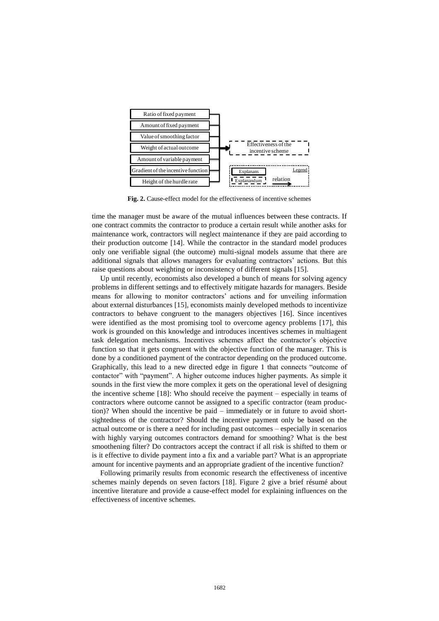

**Fig. 2.** Cause-effect model for the effectiveness of incentive schemes

time the manager must be aware of the mutual influences between these contracts. If one contract commits the contractor to produce a certain result while another asks for maintenance work, contractors will neglect maintenance if they are paid according to their production outcome [14]. While the contractor in the standard model produces only one verifiable signal (the outcome) multi-signal models assume that there are additional signals that allows managers for evaluating contractors' actions. But this raise questions about [weighting](http://dict.leo.org/ende/index_de.html#/search=weighting&searchLoc=0&resultOrder=basic&multiwordShowSingle=on) or inconsistency of different signals [15].

Up until recently, economists also developed a bunch of means for solving agency problems in different settings and to effectively mitigate hazards for managers. Beside means for allowing to monitor contractors' actions and for unveiling information about external disturbances [15], economists mainly developed methods to incentivize contractors to behave congruent to the managers objectives [16]. Since incentives were identified as the most promising tool to overcome agency problems [17], this work is grounded on this knowledge and introduces incentives schemes in multiagent task delegation mechanisms. Incentives schemes affect the contractor's objective function so that it gets congruent with the objective function of the manager. This is done by a conditioned payment of the contractor depending on the produced outcome. Graphically, this lead to a new directed edge in figure 1 that connects "outcome of contactor" with "payment". A higher outcome induces higher payments. As simple it sounds in the first view the more complex it gets on the operational level of designing the incentive scheme [18]: Who should receive the payment – especially in teams of contractors where outcome cannot be assigned to a specific contractor (team production)? When should the incentive be paid – immediately or in future to avoid shortsightedness of the contractor? Should the incentive payment only be based on the actual outcome or is there a need for including past outcomes – especially in scenarios with highly varying outcomes contractors demand for smoothing? What is the best smoothening filter? Do contractors accept the contract if all risk is shifted to them or is it effective to divide payment into a fix and a variable part? What is an appropriate amount for incentive payments and an appropriate gradient of the incentive function?

Following primarily results from economic research the effectiveness of incentive schemes mainly depends on seven factors [18]. Figure 2 give a brief résumé about incentive literature and provide a cause-effect model for explaining influences on the effectiveness of incentive schemes.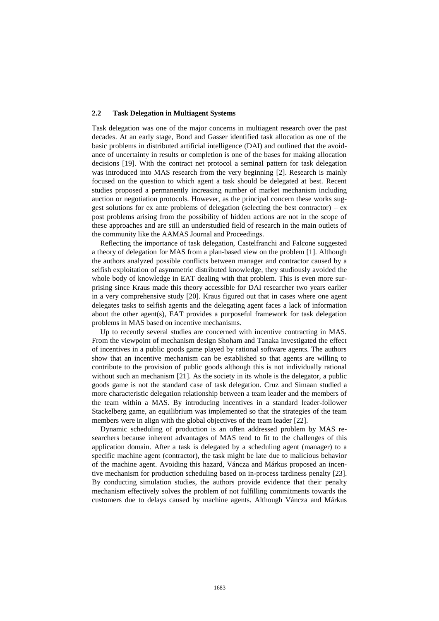#### **2.2 Task Delegation in Multiagent Systems**

Task delegation was one of the major concerns in multiagent research over the past decades. At an early stage, Bond and Gasser identified task allocation as one of the basic problems in distributed artificial intelligence (DAI) and outlined that the avoidance of uncertainty in results or completion is one of the bases for making allocation decisions [19]. With the contract net protocol a seminal pattern for task delegation was introduced into MAS research from the very beginning [2]. Research is mainly focused on the question to which agent a task should be delegated at best. Recent studies proposed a permanently increasing number of market mechanism including auction or negotiation protocols. However, as the principal concern these works suggest solutions for ex ante problems of delegation (selecting the best contractor) –  $ex$ post problems arising from the possibility of hidden actions are not in the scope of these approaches and are still an understudied field of research in the main outlets of the community like the AAMAS Journal and Proceedings.

Reflecting the importance of task delegation, Castelfranchi and Falcone suggested a theory of delegation for MAS from a plan-based view on the problem [1]. Although the authors analyzed possible conflicts between manager and contractor caused by a selfish exploitation of asymmetric distributed knowledge, they studiously avoided the whole body of knowledge in EAT dealing with that problem. This is even more surprising since Kraus made this theory accessible for DAI researcher two years earlier in a very comprehensive study [20]. Kraus figured out that in cases where one agent delegates tasks to selfish agents and the delegating agent faces a lack of information about the other agent(s), EAT provides a purposeful framework for task delegation problems in MAS based on incentive mechanisms.

Up to recently several studies are concerned with incentive contracting in MAS. From the viewpoint of mechanism design Shoham and Tanaka investigated the effect of incentives in a public goods game played by rational software agents. The authors show that an incentive mechanism can be established so that agents are willing to contribute to the provision of public goods although this is not individually rational without such an mechanism [21]. As the society in its whole is the delegator, a public goods game is not the standard case of task delegation. Cruz and Simaan studied a more characteristic delegation relationship between a team leader and the members of the team within a MAS. By introducing incentives in a standard leader-follower Stackelberg game, an equilibrium was implemented so that the strategies of the team members were in align with the global objectives of the team leader [22].

Dynamic scheduling of production is an often addressed problem by MAS researchers because inherent advantages of MAS tend to fit to the challenges of this application domain. After a task is delegated by a scheduling agent (manager) to a specific machine agent (contractor), the task might be late due to malicious behavior of the machine agent. Avoiding this hazard, Váncza and Márkus proposed an incentive mechanism for production scheduling based on in-process tardiness penalty [23]. By conducting simulation studies, the authors provide evidence that their penalty mechanism effectively solves the problem of not fulfilling commitments towards the customers due to delays caused by machine agents. Although Váncza and Márkus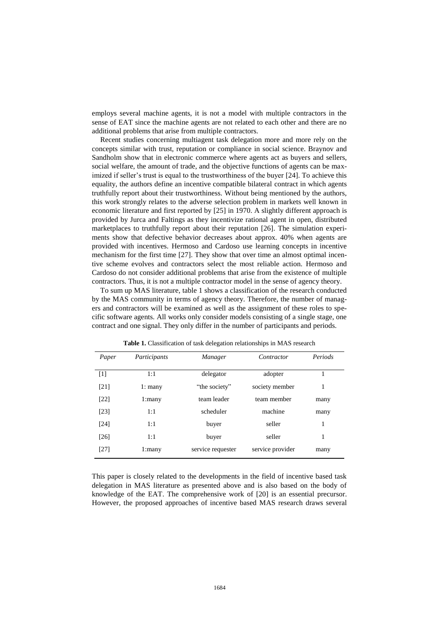employs several machine agents, it is not a model with multiple contractors in the sense of EAT since the machine agents are not related to each other and there are no additional problems that arise from multiple contractors.

Recent studies concerning multiagent task delegation more and more rely on the concepts similar with trust, reputation or compliance in social science. Braynov and Sandholm show that in electronic commerce where agents act as buyers and sellers, social welfare, the amount of trade, and the objective functions of agents can be maximized if seller's trust is equal to the trustworthiness of the buyer [24]. To achieve this equality, the authors define an incentive compatible bilateral contract in which agents truthfully report about their trustworthiness. Without being mentioned by the authors, this work strongly relates to the adverse selection problem in markets well known in economic literature and first reported by [25] in 1970. A slightly different approach is provided by Jurca and Faltings as they incentivize rational agent in open, distributed marketplaces to truthfully report about their reputation [26]. The simulation experiments show that defective behavior decreases about approx. 40% when agents are provided with incentives. Hermoso and Cardoso use learning concepts in incentive mechanism for the first time [27]. They show that over time an almost optimal incentive scheme evolves and contractors select the most reliable action. Hermoso and Cardoso do not consider additional problems that arise from the existence of multiple contractors. Thus, it is not a multiple contractor model in the sense of agency theory.

To sum up MAS literature, table 1 shows a classification of the research conducted by the MAS community in terms of agency theory. Therefore, the number of managers and contractors will be examined as well as the assignment of these roles to specific software agents. All works only consider models consisting of a single stage, one contract and one signal. They only differ in the number of participants and periods.

| Paper              | Participants | Manager           | Contractor       | Periods |
|--------------------|--------------|-------------------|------------------|---------|
| $[1]$              | 1:1          | delegator         | adopter          |         |
| [21]               | $1:$ many    | "the society"     | society member   | 1       |
| [22]               | $1:$ many    | team leader       | team member      | many    |
| [23]               | 1:1          | scheduler         | machine          | many    |
| $\lceil 24 \rceil$ | 1:1          | buyer             | seller           | 1       |
| $[26]$             | 1:1          | buyer             | seller           | 1       |
| [27]               | $1:$ many    | service requester | service provider | many    |

**Table 1.** Classification of task delegation relationships in MAS research

This paper is closely related to the developments in the field of incentive based task delegation in MAS literature as presented above and is also based on the body of knowledge of the EAT. The comprehensive work of [20] is an essential precursor. However, the proposed approaches of incentive based MAS research draws several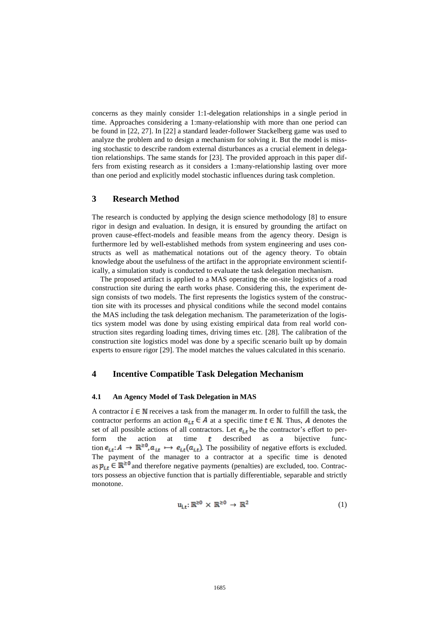concerns as they mainly consider 1:1-delegation relationships in a single period in time. Approaches considering a 1:many-relationship with more than one period can be found in [22, 27]. In [22] a standard leader-follower Stackelberg game was used to analyze the problem and to design a mechanism for solving it. But the model is missing stochastic to describe random external disturbances as a crucial element in delegation relationships. The same stands for [23]. The provided approach in this paper differs from existing research as it considers a 1:many-relationship lasting over more than one period and explicitly model stochastic influences during task completion.

# **3 Research Method**

The research is conducted by applying the design science methodology [8] to ensure rigor in design and evaluation. In design, it is ensured by grounding the artifact on proven cause-effect-models and feasible means from the agency theory. Design is furthermore led by well-established methods from system engineering and uses constructs as well as mathematical notations out of the agency theory. To obtain knowledge about the usefulness of the artifact in the appropriate environment scientifically, a simulation study is conducted to evaluate the task delegation mechanism.

The proposed artifact is applied to a MAS operating the on-site logistics of a road construction site during the earth works phase. Considering this, the experiment design consists of two models. The first represents the logistics system of the construction site with its processes and physical conditions while the second model contains the MAS including the task delegation mechanism. The parameterization of the logistics system model was done by using existing empirical data from real world construction sites regarding loading times, driving times etc. [28]. The calibration of the construction site logistics model was done by a specific scenario built up by domain experts to ensure rigor [29]. The model matches the values calculated in this scenario.

# **4 Incentive Compatible Task Delegation Mechanism**

#### **4.1 An Agency Model of Task Delegation in MAS**

A contractor  $i \in \mathbb{N}$  receives a task from the manager  $m$ . In order to fulfill the task, the contractor performs an action  $a_{i,t} \in A$  at a specific time  $t \in \mathbb{N}$ . Thus, A denotes the set of all possible actions of all contractors. Let  $e_{i,t}$  be the contractor's effort to perform the action at time  $t$  described as a bijective function  $e_{i,t}: A \to \mathbb{R}^{\geq 0}, a_{i,t} \mapsto e_{i,t}(a_{i,t})$ . The possibility of negative efforts is excluded. The payment of the manager to a contractor at a specific time is denoted as  $p_{i,t} \in \mathbb{R}^{\geq 0}$  and therefore negative payments (penalties) are excluded, too. Contractors possess an objective function that is partially differentiable, separable and strictly monotone.

$$
u_{i,t}: \mathbb{R}^{\geq 0} \times \mathbb{R}^{\geq 0} \to \mathbb{R}^2
$$
 (1)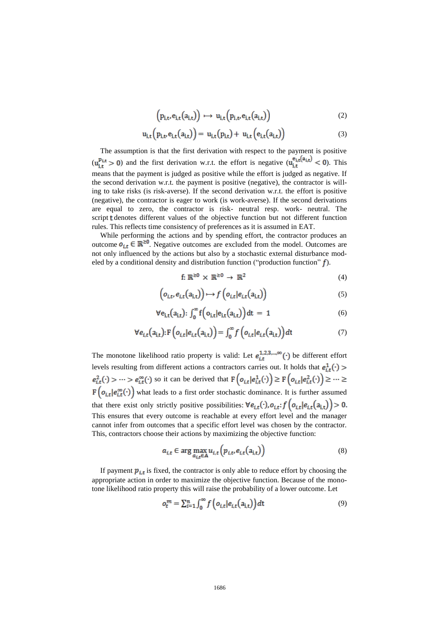$$
\left(p_{i,t},e_{i,t}(a_{i,t})\right) \mapsto u_{i,t}\left(p_{i,t},e_{i,t}(a_{i,t})\right) \tag{2}
$$

$$
u_{i,t}(p_{i,t},e_{i,t}(a_{i,t})) = u_{i,t}(p_{i,t}) + u_{i,t}(e_{i,t}(a_{i,t}))
$$
\n(3)

The assumption is that the first derivation with respect to the payment is positive  $(u_{i,t}^{p_{i,t}}>0)$  and the first derivation w.r.t. the effort is negative  $(u_{i,t}^{e_{i,t}}(a_{i,t})<0)$ . This means that the payment is judged as positive while the effort is judged as negative. If the second derivation w.r.t. the payment is positive (negative), the contractor is willing to take risks (is risk-averse). If the second derivation w.r.t. the effort is positive (negative), the contractor is eager to work (is work-averse). If the second derivations are equal to zero, the contractor is risk- neutral resp. work- neutral. The script denotes different values of the objective function but not different function rules. This reflects time consistency of preferences as it is assumed in EAT.

While performing the actions and by spending effort, the contractor produces an outcome  $o_{i,t} \in \mathbb{R}^{\geq 0}$ . Negative outcomes are excluded from the model. Outcomes are not only influenced by the actions but also by a stochastic external disturbance modeled by a conditional density and distribution function ("production function"  $f$ ).

$$
f: \mathbb{R}^{\geq 0} \times \mathbb{R}^{\geq 0} \to \mathbb{R}^2
$$
 (4)

$$
\left(o_{i,t}, e_{i,t}(a_{i,t})\right) \mapsto f\left(o_{i,t}|e_{i,t}(a_{i,t})\right) \tag{5}
$$

$$
\forall e_{i,t}(a_{i,t}) : \int_0^\infty f\Big(o_{i,t}|e_{i,t}(a_{i,t})\Big)dt = 1 \tag{6}
$$

$$
\forall e_{i,t}(a_{i,t}) : F\left(o_{i,t}|e_{i,t}(a_{i,t})\right) = \int_0^\infty f\left(o_{i,t}|e_{i,t}(a_{i,t})\right)dt\tag{7}
$$

The monotone likelihood ratio property is valid: Let  $e_i^{\frac{1}{2}, \frac{2}{2}, \dots, \infty}(\cdot)$  be different effort levels resulting from different actions a contractors carries out. It holds that  $e_{i,t}^2(\cdot) > \cdots > e_{i,t}^{\infty}(\cdot)$  so it can be derived that  $F\left(o_{i,t} | e_{i,t}^1(\cdot)\right) \geq F\left(o_{i,t} | e_{i,t}^2(\cdot)\right) \geq \cdots \geq$  $F(o_{i,t}|e_{i,t}^{\infty}(\cdot))$  what leads to a first order stochastic dominance. It is further assumed that there exist only strictly positive possibilities:  $\forall e_{i,t}(\cdot), o_{i,t}$ ;  $f(o_{i,t}|e_{i,t}(a_{i,t})) > 0$ . This ensures that every outcome is reachable at every effort level and the manager cannot infer from outcomes that a specific effort level was chosen by the contractor. This, contractors choose their actions by maximizing the objective function:

$$
a_{i,t} \in \arg\max_{a_{i,t} \in A} u_{i,t} \left( p_{i,t}, e_{i,t} \left( a_{i,t} \right) \right) \tag{8}
$$

If payment  $p_{i,t}$  is fixed, the contractor is only able to reduce effort by choosing the appropriate action in order to maximize the objective function. Because of the monotone likelihood ratio property this will raise the probability of a lower outcome. Let

$$
o_t^m = \sum_{i=1}^n \int_0^\infty f\left(o_{i,t} | e_{i,t}(a_{i,t})\right) dt
$$
\n(9)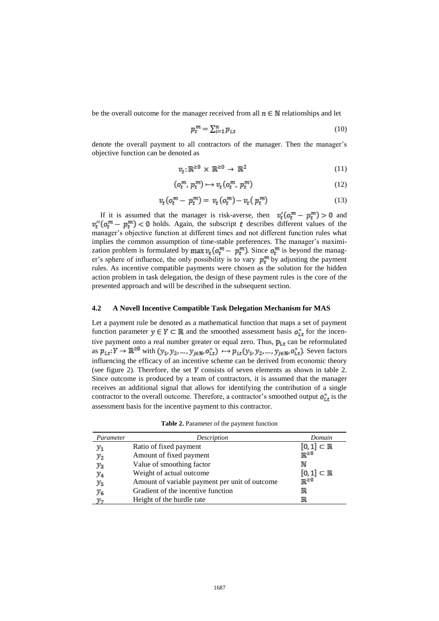be the overall outcome for the manager received from all  $n \in \mathbb{N}$  relationships and let

$$
p_t^m = \sum_{i=1}^n p_{i,t} \tag{10}
$$

denote the overall payment to all contractors of the manager. Then the manager's objective function can be denoted as

$$
v_t: \mathbb{R}^{\geq 0} \times \mathbb{R}^{\geq 0} \to \mathbb{R}^2
$$
 (11)

$$
(o_t^m, p_t^m) \mapsto v_t(o_t^m, p_t^m) \tag{12}
$$

$$
v_t(o_t^m - p_t^m) = v_t(o_t^m) - v_t(p_t^m)
$$
\n(13)

If it is assumed that the manager is risk-averse, then  $v'_t(o_t^m - p_t^m) > 0$  and  $v_t''(\rho_t^m - p_t^m)$  < 0 holds. Again, the subscript t describes different values of the manager's objective function at different times and not different function rules what implies the common assumption of time-stable preferences. The manager's maximization problem is formulated by max  $v_t$  ( $o_t^m - p_t^m$ ). Since  $o_t^m$  is beyond the manager's sphere of influence, the only possibility is to vary  $p_t^m$  by adjusting the payment rules. As incentive compatible payments were chosen as the solution for the hidden action problem in task delegation, the design of these payment rules is the core of the presented approach and will be described in the subsequent section.

#### **4.2 A Novell Incentive Compatible Task Delegation Mechanism for MAS**

Let a payment rule be denoted as a mathematical function that maps a set of payment function parameter  $y \in Y \subset \mathbb{R}$  and the smoothed assessment basis  $o_{i,t}^*$  for the incentive payment onto a real number greater or equal zero. Thus,  $p_{i,t}$  can be reformulated as  $p_{i,t}: Y \to \mathbb{R}^{\geq 0}$  with  $(y_1, y_2, ..., y_{j \in \mathbb{N}}, o_{i,t}^*) \mapsto p_{i,t}(y_1, y_2, ..., y_{j \in \mathbb{N}}, o_{i,t}^*)$ . Seven factors influencing the efficacy of an incentive scheme can be derived from economic theory (see figure 2). Therefore, the set  $Y$  consists of seven elements as shown in table 2. Since outcome is produced by a team of contractors, it is assumed that the manager receives an additional signal that allows for identifying the contribution of a single contractor to the overall outcome. Therefore, a contractor's smoothed output  $o_{it}^*$  is the assessment basis for the incentive payment to this contractor.

**Table 2.** Parameter of the payment function

| Parameter | Description                                    | Domain                     |
|-----------|------------------------------------------------|----------------------------|
| $y_1$     | Ratio of fixed payment                         | $[0,1] \subset \mathbb{R}$ |
| $y_{2}$   | Amount of fixed payment                        | $\mathbb{R}^{\geq 0}$      |
| $y_3$     | Value of smoothing factor                      | N                          |
| $y_4$     | Weight of actual outcome                       | $[0,1] \subset \mathbb{R}$ |
| $y_{5}$   | Amount of variable payment per unit of outcome | $\bar{R} \geq 0$           |
| $y_{6}$   | Gradient of the incentive function             | $_{\mathbb{R}}$            |
|           | Height of the hurdle rate                      | $\mathbb R$                |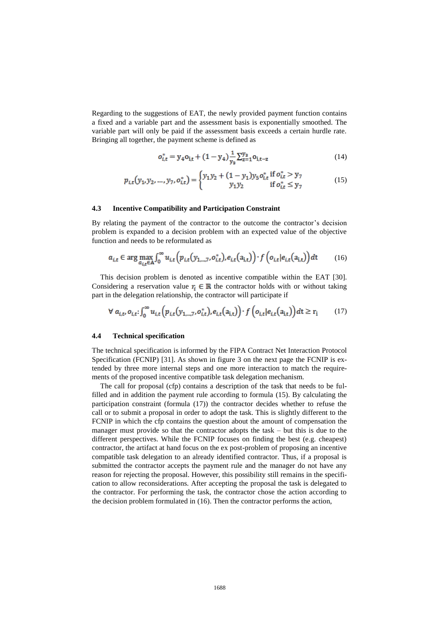Regarding to the suggestions of EAT, the newly provided payment function contains a fixed and a variable part and the assessment basis is exponentially smoothed. The variable part will only be paid if the assessment basis exceeds a certain hurdle rate. Bringing all together, the payment scheme is defined as

$$
o_{i,t}^* = y_4 o_{i,t} + (1 - y_4) \frac{1}{y_3} \sum_{z=1}^{y_3} o_{i,t-z}
$$
 (14)

$$
p_{i,t}(y_1, y_2, \dots, y_7, o_{i,t}^*) = \begin{cases} y_1 y_2 + (1 - y_1) y_5 o_{i,t}^* & \text{if } o_{i,t}^* > y_7\\ y_1 y_2 & \text{if } o_{i,t}^* \le y_7 \end{cases}
$$
(15)

#### **4.3 Incentive Compatibility and Participation Constraint**

By relating the payment of the contractor to the outcome the contractor's decision problem is expanded to a decision problem with an expected value of the objective function and needs to be reformulated as

$$
a_{i,t} \in \arg\max_{a_{i,t} \in A} \int_0^\infty u_{i,t} \left( p_{i,t} \left( y_{1,\ldots,7}, o_{i,t}^* \right), e_{i,t} \left( a_{i,t} \right) \right) \cdot f \left( o_{i,t} | e_{i,t} \left( a_{i,t} \right) \right) dt \tag{16}
$$

This decision problem is denoted as incentive compatible within the EAT [30]. Considering a reservation value  $r_i \in \mathbb{R}$  the contractor holds with or without taking part in the delegation relationship, the contractor will participate if

$$
\forall a_{i,t}, o_{i,t} : \int_0^\infty u_{i,t} \left( p_{i,t} (y_{1,\dots,7}, o_{i,t}^*) , e_{i,t} (a_{i,t}) \right) \cdot f \left( o_{i,t} | e_{i,t} (a_{i,t}) \right) dt \ge r_i \tag{17}
$$

#### **4.4 Technical specification**

The technical specification is informed by the FIPA Contract Net Interaction Protocol Specification (FCNIP) [31]. As shown in figure 3 on the next page the FCNIP is extended by three more internal steps and one more interaction to match the requirements of the proposed incentive compatible task delegation mechanism.

The call for proposal (cfp) contains a description of the task that needs to be fulfilled and in addition the payment rule according to formula (15). By calculating the participation constraint (formula (17)) the contractor decides whether to refuse the call or to submit a proposal in order to adopt the task. This is slightly different to the FCNIP in which the cfp contains the question about the amount of compensation the manager must provide so that the contractor adopts the task – but this is due to the different perspectives. While the FCNIP focuses on finding the best (e.g. cheapest) contractor, the artifact at hand focus on the ex post-problem of proposing an incentive compatible task delegation to an already identified contractor. Thus, if a proposal is submitted the contractor accepts the payment rule and the manager do not have any reason for rejecting the proposal. However, this possibility still remains in the specification to allow reconsiderations. After accepting the proposal the task is delegated to the contractor. For performing the task, the contractor chose the action according to the decision problem formulated in (16). Then the contractor performs the action,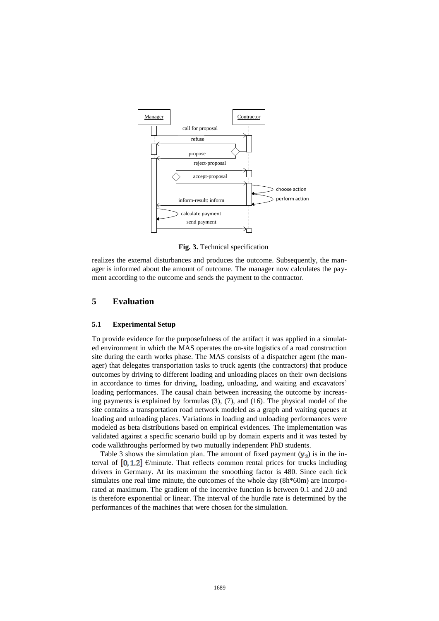

**Fig. 3.** Technical specification

realizes the external disturbances and produces the outcome. Subsequently, the manager is informed about the amount of outcome. The manager now calculates the payment according to the outcome and sends the payment to the contractor.

# **5 Evaluation**

#### **5.1 Experimental Setup**

To provide evidence for the purposefulness of the artifact it was applied in a simulated environment in which the MAS operates the on-site logistics of a road construction site during the earth works phase. The MAS consists of a dispatcher agent (the manager) that delegates transportation tasks to truck agents (the contractors) that produce outcomes by driving to different loading and unloading places on their own decisions in accordance to times for driving, loading, unloading, and waiting and excavators' loading performances. The causal chain between increasing the outcome by increasing payments is explained by formulas (3), (7), and (16). The physical model of the site contains a transportation road network modeled as a graph and waiting queues at loading and unloading places. Variations in loading and unloading performances were modeled as beta distributions based on empirical evidences. The implementation was validated against a specific scenario build up by domain experts and it was tested by code walkthroughs performed by two mutually independent PhD students.

Table 3 shows the simulation plan. The amount of fixed payment  $(y_2)$  is in the interval of  $[0, 1.2]$   $\epsilon$ /minute. That reflects common rental prices for trucks including drivers in Germany. At its maximum the smoothing factor is 480. Since each tick simulates one real time minute, the outcomes of the whole day (8h\*60m) are incorporated at maximum. The gradient of the incentive function is between 0.1 and 2.0 and is therefore exponential or linear. The interval of the hurdle rate is determined by the performances of the machines that were chosen for the simulation.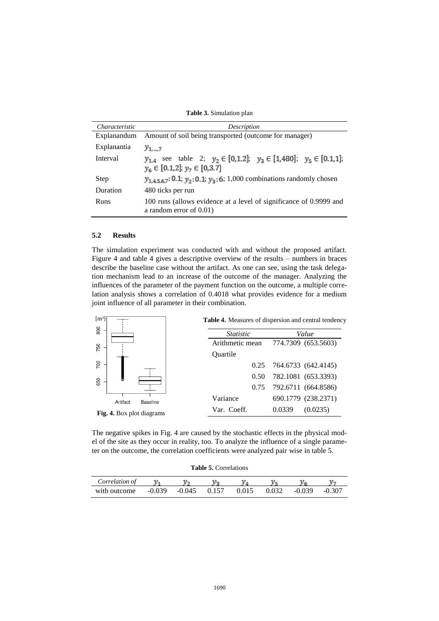**Table 3.** Simulation plan

| <i>Characteristic</i> | Description                                                                                                                   |  |  |  |
|-----------------------|-------------------------------------------------------------------------------------------------------------------------------|--|--|--|
| Explanandum           | Amount of soil being transported (outcome for manager)                                                                        |  |  |  |
| Explanantia           | $y_{17}$                                                                                                                      |  |  |  |
| Interval              | $y_{1,4}$ see table 2; $y_2 \in [0,1.2]$ ; $y_3 \in [1,480]$ ; $y_5 \in [0.1,1]$ ;<br>$y_6 \in [0.1, 2]$ ; $y_7 \in [0.3, 7]$ |  |  |  |
| Step                  | $y_{1.4,5,6,7}$ : 0.1; $y_2$ : 0.1; $y_3$ : 6; 1,000 combinations randomly chosen                                             |  |  |  |
| Duration              | 480 ticks per run                                                                                                             |  |  |  |
| Runs                  | 100 runs (allows evidence at a level of significance of 0.9999 and<br>a random error of $0.01$ )                              |  |  |  |

### **5.2 Results**

The simulation experiment was conducted with and without the proposed artifact. Figure 4 and table 4 gives a descriptive overview of the results – numbers in braces describe the baseline case without the artifact. As one can see, using the task delegation mechanism lead to an increase of the outcome of the manager. Analyzing the influences of the parameter of the payment function on the outcome, a multiple correlation analysis shows a correlation of 0.4018 what provides evidence for a medium joint influence of all parameter in their combination.



<span id="page-12-0"></span>The negative spikes in [Fig. 4](#page-12-0) are caused by the stochastic effects in the physical model of the site as they occur in reality, too. To analyze the influence of a single parameter on the outcome, the correlation coefficients were analyzed pair wise in table 5.

| <b>Table 5. Correlations</b> |  |  |  |
|------------------------------|--|--|--|
|------------------------------|--|--|--|

| Correlation of |        |                |       |       |        |        |
|----------------|--------|----------------|-------|-------|--------|--------|
| with outcome   | -0.039 | $-0.045$ 0.157 | 0.015 | 0.032 | -0.039 | -0.307 |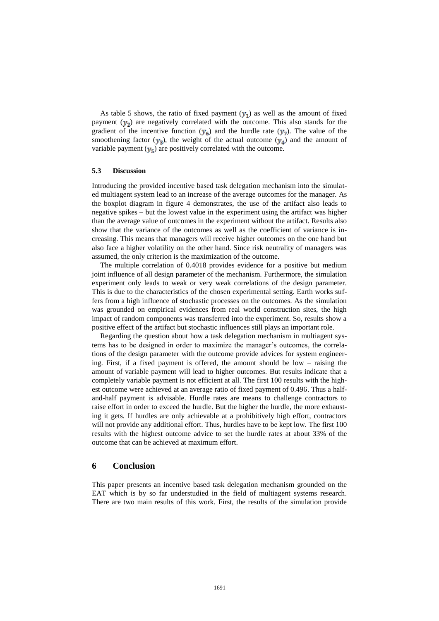As table 5 shows, the ratio of fixed payment  $(y_1)$  as well as the amount of fixed payment  $(y_2)$  are negatively correlated with the outcome. This also stands for the gradient of the incentive function  $(y_6)$  and the hurdle rate  $(y_7)$ . The value of the smoothening factor  $(y_3)$ , the weight of the actual outcome  $(y_4)$  and the amount of variable payment  $(y_5)$  are positively correlated with the outcome.

#### **5.3 Discussion**

Introducing the provided incentive based task delegation mechanism into the simulated multiagent system lead to an increase of the average outcomes for the manager. As the boxplot diagram in figure 4 demonstrates, the use of the artifact also leads to negative spikes – but the lowest value in the experiment using the artifact was higher than the average value of outcomes in the experiment without the artifact. Results also show that the variance of the outcomes as well as the coefficient of variance is increasing. This means that managers will receive higher outcomes on the one hand but also face a higher volatility on the other hand. Since risk neutrality of managers was assumed, the only criterion is the maximization of the outcome.

The multiple correlation of 0.4018 provides evidence for a positive but medium joint influence of all design parameter of the mechanism. Furthermore, the simulation experiment only leads to weak or very weak correlations of the design parameter. This is due to the characteristics of the chosen experimental setting. Earth works suffers from a high influence of stochastic processes on the outcomes. As the simulation was grounded on empirical evidences from real world construction sites, the high impact of random components was transferred into the experiment. So, results show a positive effect of the artifact but stochastic influences still plays an important role.

Regarding the question about how a task delegation mechanism in multiagent systems has to be designed in order to maximize the manager's outcomes, the correlations of the design parameter with the outcome provide advices for system engineering. First, if a fixed payment is offered, the amount should be low – raising the amount of variable payment will lead to higher outcomes. But results indicate that a completely variable payment is not efficient at all. The first 100 results with the highest outcome were achieved at an average ratio of fixed payment of 0.496. Thus a halfand-half payment is advisable. Hurdle rates are means to challenge contractors to raise effort in order to exceed the hurdle. But the higher the hurdle, the more exhausting it gets. If hurdles are only achievable at a prohibitively high effort, contractors will not provide any additional effort. Thus, hurdles have to be kept low. The first 100 results with the highest outcome advice to set the hurdle rates at about 33% of the outcome that can be achieved at maximum effort.

# **6 Conclusion**

This paper presents an incentive based task delegation mechanism grounded on the EAT which is by so far understudied in the field of multiagent systems research. There are two main results of this work. First, the results of the simulation provide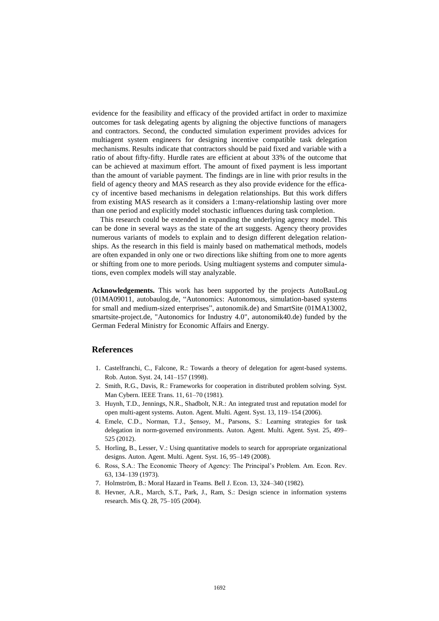evidence for the feasibility and efficacy of the provided artifact in order to maximize outcomes for task delegating agents by aligning the objective functions of managers and contractors. Second, the conducted simulation experiment provides advices for multiagent system engineers for designing incentive compatible task delegation mechanisms. Results indicate that contractors should be paid fixed and variable with a ratio of about [fifty-fifty.](http://dict.leo.org/ende/index_de.html#/search=fifty-fifty&searchLoc=0&resultOrder=basic&multiwordShowSingle=on) Hurdle rates are efficient at about 33% of the outcome that can be achieved at maximum effort. The amount of fixed payment is less important than the amount of variable payment. The findings are in line with prior results in the field of agency theory and MAS research as they also provide evidence for the efficacy of incentive based mechanisms in delegation relationships. But this work differs from existing MAS research as it considers a 1:many-relationship lasting over more than one period and explicitly model stochastic influences during task completion.

This research could be extended in expanding the underlying agency model. This can be done in several ways as the state of the art suggests. Agency theory provides numerous variants of models to explain and to design different delegation relationships. As the research in this field is mainly based on mathematical methods, models are often expanded in only one or two directions like shifting from one to more agents or shifting from one to more periods. Using multiagent systems and computer simulations, even complex models will stay analyzable.

**Acknowledgements.** This work has been supported by the projects AutoBauLog (01MA09011, autobaulog.de, "Autonomics: Autonomous, simulation-based systems for small and medium-sized enterprises", autonomik.de) and SmartSite (01MA13002, smartsite-project.de, "Autonomics for Industry 4.0", autonomik40.de) funded by the German Federal Ministry for Economic Affairs and Energy.

# **References**

- 1. Castelfranchi, C., Falcone, R.: Towards a theory of delegation for agent-based systems. Rob. Auton. Syst. 24, 141–157 (1998).
- 2. Smith, R.G., Davis, R.: Frameworks for cooperation in distributed problem solving. Syst. Man Cybern. IEEE Trans. 11, 61–70 (1981).
- 3. Huynh, T.D., Jennings, N.R., Shadbolt, N.R.: An integrated trust and reputation model for open multi-agent systems. Auton. Agent. Multi. Agent. Syst. 13, 119–154 (2006).
- 4. Emele, C.D., Norman, T.J., Şensoy, M., Parsons, S.: Learning strategies for task delegation in norm-governed environments. Auton. Agent. Multi. Agent. Syst. 25, 499– 525 (2012).
- 5. Horling, B., Lesser, V.: Using quantitative models to search for appropriate organizational designs. Auton. Agent. Multi. Agent. Syst. 16, 95–149 (2008).
- 6. Ross, S.A.: The Economic Theory of Agency: The Principal's Problem. Am. Econ. Rev. 63, 134–139 (1973).
- 7. Holmström, B.: Moral Hazard in Teams. Bell J. Econ. 13, 324–340 (1982).
- 8. Hevner, A.R., March, S.T., Park, J., Ram, S.: Design science in information systems research. Mis Q. 28, 75–105 (2004).